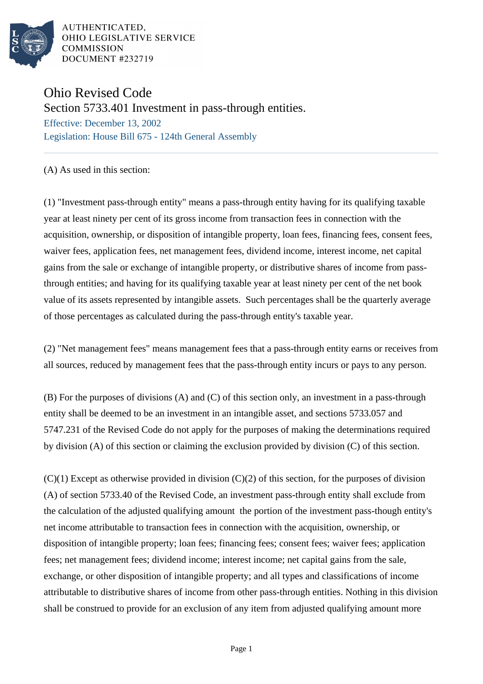

AUTHENTICATED, OHIO LEGISLATIVE SERVICE **COMMISSION** DOCUMENT #232719

## Ohio Revised Code

Section 5733.401 Investment in pass-through entities.

Effective: December 13, 2002 Legislation: House Bill 675 - 124th General Assembly

(A) As used in this section:

(1) "Investment pass-through entity" means a pass-through entity having for its qualifying taxable year at least ninety per cent of its gross income from transaction fees in connection with the acquisition, ownership, or disposition of intangible property, loan fees, financing fees, consent fees, waiver fees, application fees, net management fees, dividend income, interest income, net capital gains from the sale or exchange of intangible property, or distributive shares of income from passthrough entities; and having for its qualifying taxable year at least ninety per cent of the net book value of its assets represented by intangible assets. Such percentages shall be the quarterly average of those percentages as calculated during the pass-through entity's taxable year.

(2) "Net management fees" means management fees that a pass-through entity earns or receives from all sources, reduced by management fees that the pass-through entity incurs or pays to any person.

(B) For the purposes of divisions (A) and (C) of this section only, an investment in a pass-through entity shall be deemed to be an investment in an intangible asset, and sections 5733.057 and 5747.231 of the Revised Code do not apply for the purposes of making the determinations required by division (A) of this section or claiming the exclusion provided by division (C) of this section.

 $(C)(1)$  Except as otherwise provided in division  $(C)(2)$  of this section, for the purposes of division (A) of section 5733.40 of the Revised Code, an investment pass-through entity shall exclude from the calculation of the adjusted qualifying amount the portion of the investment pass-though entity's net income attributable to transaction fees in connection with the acquisition, ownership, or disposition of intangible property; loan fees; financing fees; consent fees; waiver fees; application fees; net management fees; dividend income; interest income; net capital gains from the sale, exchange, or other disposition of intangible property; and all types and classifications of income attributable to distributive shares of income from other pass-through entities. Nothing in this division shall be construed to provide for an exclusion of any item from adjusted qualifying amount more